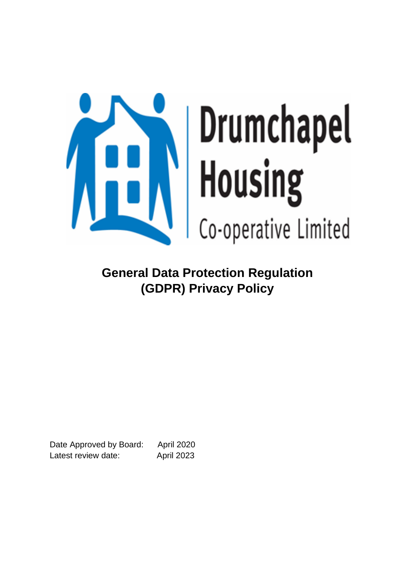

**General Data Protection Regulation (GDPR) Privacy Policy** 

Date Approved by Board: April 2020 Latest review date: April 2023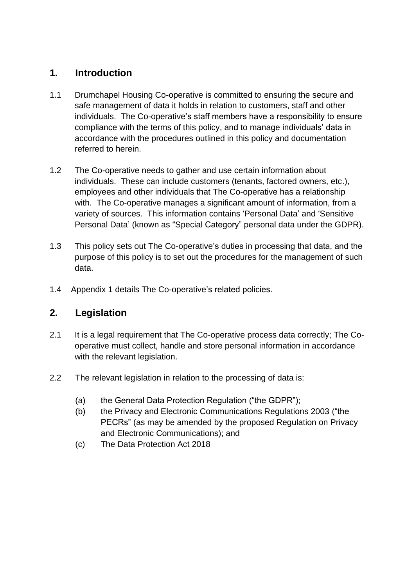# **1. Introduction**

- 1.1 Drumchapel Housing Co-operative is committed to ensuring the secure and safe management of data it holds in relation to customers, staff and other individuals. The Co-operative's staff members have a responsibility to ensure compliance with the terms of this policy, and to manage individuals' data in accordance with the procedures outlined in this policy and documentation referred to herein.
- 1.2 The Co-operative needs to gather and use certain information about individuals. These can include customers (tenants, factored owners, etc.), employees and other individuals that The Co-operative has a relationship with. The Co-operative manages a significant amount of information, from a variety of sources. This information contains 'Personal Data' and 'Sensitive Personal Data' (known as "Special Category" personal data under the GDPR).
- 1.3 This policy sets out The Co-operative's duties in processing that data, and the purpose of this policy is to set out the procedures for the management of such data.
- 1.4 Appendix 1 details The Co-operative's related policies.

# **2. Legislation**

- 2.1 It is a legal requirement that The Co-operative process data correctly; The Cooperative must collect, handle and store personal information in accordance with the relevant legislation.
- 2.2 The relevant legislation in relation to the processing of data is:
	- (a) the General Data Protection Regulation ("the GDPR");
	- (b) the Privacy and Electronic Communications Regulations 2003 ("the PECRs" (as may be amended by the proposed Regulation on Privacy and Electronic Communications); and
	- (c) The Data Protection Act 2018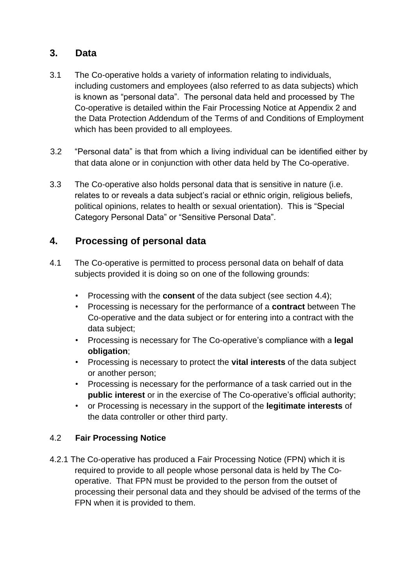# **3. Data**

- 3.1 The Co-operative holds a variety of information relating to individuals, including customers and employees (also referred to as data subjects) which is known as "personal data". The personal data held and processed by The Co-operative is detailed within the Fair Processing Notice at Appendix 2 and the Data Protection Addendum of the Terms of and Conditions of Employment which has been provided to all employees.
- 3.2 "Personal data" is that from which a living individual can be identified either by that data alone or in conjunction with other data held by The Co-operative.
- 3.3 The Co-operative also holds personal data that is sensitive in nature (i.e. relates to or reveals a data subject's racial or ethnic origin, religious beliefs, political opinions, relates to health or sexual orientation). This is "Special Category Personal Data" or "Sensitive Personal Data".

# **4. Processing of personal data**

- 4.1 The Co-operative is permitted to process personal data on behalf of data subjects provided it is doing so on one of the following grounds:
	- Processing with the **consent** of the data subject (see section 4.4);
	- Processing is necessary for the performance of a **contract** between The Co-operative and the data subject or for entering into a contract with the data subject;
	- Processing is necessary for The Co-operative's compliance with a **legal obligation**;
	- Processing is necessary to protect the **vital interests** of the data subject or another person;
	- Processing is necessary for the performance of a task carried out in the **public interest** or in the exercise of The Co-operative's official authority;
	- or Processing is necessary in the support of the **legitimate interests** of the data controller or other third party.

## 4.2 **Fair Processing Notice**

4.2.1 The Co-operative has produced a Fair Processing Notice (FPN) which it is required to provide to all people whose personal data is held by The Cooperative. That FPN must be provided to the person from the outset of processing their personal data and they should be advised of the terms of the FPN when it is provided to them.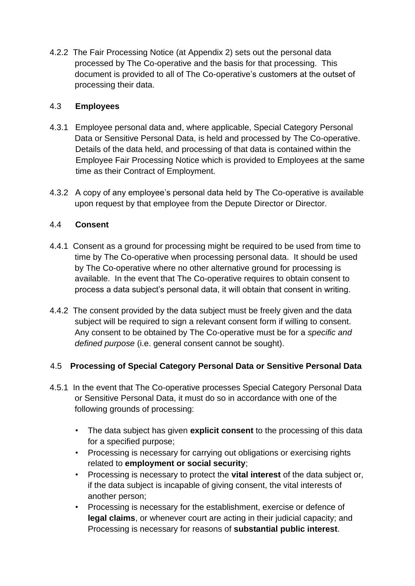4.2.2 The Fair Processing Notice (at Appendix 2) sets out the personal data processed by The Co-operative and the basis for that processing. This document is provided to all of The Co-operative's customers at the outset of processing their data.

## 4.3 **Employees**

- 4.3.1 Employee personal data and, where applicable, Special Category Personal Data or Sensitive Personal Data, is held and processed by The Co-operative. Details of the data held, and processing of that data is contained within the Employee Fair Processing Notice which is provided to Employees at the same time as their Contract of Employment.
- 4.3.2 A copy of any employee's personal data held by The Co-operative is available upon request by that employee from the Depute Director or Director.

## 4.4 **Consent**

- 4.4.1 Consent as a ground for processing might be required to be used from time to time by The Co-operative when processing personal data. It should be used by The Co-operative where no other alternative ground for processing is available. In the event that The Co-operative requires to obtain consent to process a data subject's personal data, it will obtain that consent in writing.
- 4.4.2 The consent provided by the data subject must be freely given and the data subject will be required to sign a relevant consent form if willing to consent. Any consent to be obtained by The Co-operative must be for a *specific and defined purpose* (i.e. general consent cannot be sought).

## 4.5 **Processing of Special Category Personal Data or Sensitive Personal Data**

- 4.5.1 In the event that The Co-operative processes Special Category Personal Data or Sensitive Personal Data, it must do so in accordance with one of the following grounds of processing:
	- The data subject has given **explicit consent** to the processing of this data for a specified purpose;
	- Processing is necessary for carrying out obligations or exercising rights related to **employment or social security**;
	- Processing is necessary to protect the **vital interest** of the data subject or, if the data subject is incapable of giving consent, the vital interests of another person;
	- Processing is necessary for the establishment, exercise or defence of **legal claims**, or whenever court are acting in their judicial capacity; and Processing is necessary for reasons of **substantial public interest**.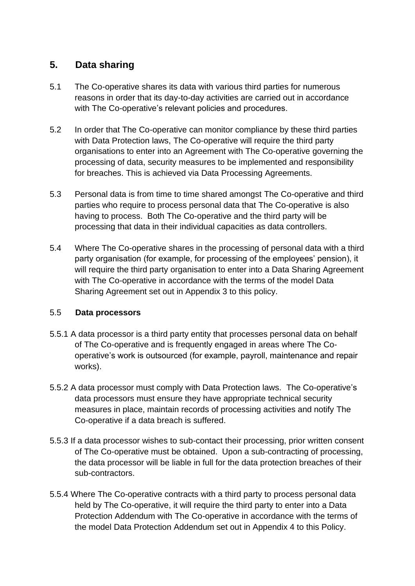# **5. Data sharing**

- 5.1 The Co-operative shares its data with various third parties for numerous reasons in order that its day-to-day activities are carried out in accordance with The Co-operative's relevant policies and procedures.
- 5.2 In order that The Co-operative can monitor compliance by these third parties with Data Protection laws, The Co-operative will require the third party organisations to enter into an Agreement with The Co-operative governing the processing of data, security measures to be implemented and responsibility for breaches. This is achieved via Data Processing Agreements.
- 5.3 Personal data is from time to time shared amongst The Co-operative and third parties who require to process personal data that The Co-operative is also having to process. Both The Co-operative and the third party will be processing that data in their individual capacities as data controllers.
- 5.4 Where The Co-operative shares in the processing of personal data with a third party organisation (for example, for processing of the employees' pension), it will require the third party organisation to enter into a Data Sharing Agreement with The Co-operative in accordance with the terms of the model Data Sharing Agreement set out in Appendix 3 to this policy.

## 5.5 **Data processors**

- 5.5.1 A data processor is a third party entity that processes personal data on behalf of The Co-operative and is frequently engaged in areas where The Cooperative's work is outsourced (for example, payroll, maintenance and repair works).
- 5.5.2 A data processor must comply with Data Protection laws. The Co-operative's data processors must ensure they have appropriate technical security measures in place, maintain records of processing activities and notify The Co-operative if a data breach is suffered.
- 5.5.3 If a data processor wishes to sub-contact their processing, prior written consent of The Co-operative must be obtained. Upon a sub-contracting of processing, the data processor will be liable in full for the data protection breaches of their sub-contractors.
- 5.5.4 Where The Co-operative contracts with a third party to process personal data held by The Co-operative, it will require the third party to enter into a Data Protection Addendum with The Co-operative in accordance with the terms of the model Data Protection Addendum set out in Appendix 4 to this Policy.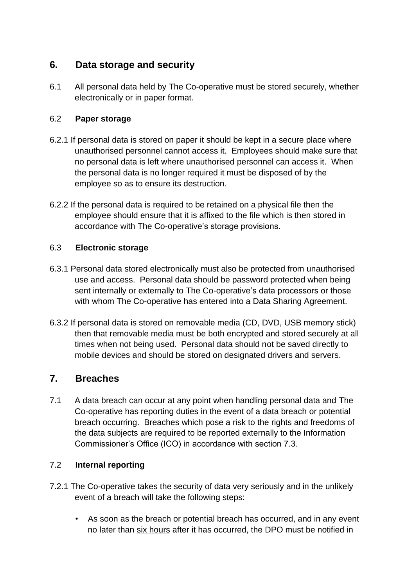# **6. Data storage and security**

6.1 All personal data held by The Co-operative must be stored securely, whether electronically or in paper format.

## 6.2 **Paper storage**

- 6.2.1 If personal data is stored on paper it should be kept in a secure place where unauthorised personnel cannot access it. Employees should make sure that no personal data is left where unauthorised personnel can access it. When the personal data is no longer required it must be disposed of by the employee so as to ensure its destruction.
- 6.2.2 If the personal data is required to be retained on a physical file then the employee should ensure that it is affixed to the file which is then stored in accordance with The Co-operative's storage provisions.

## 6.3 **Electronic storage**

- 6.3.1 Personal data stored electronically must also be protected from unauthorised use and access. Personal data should be password protected when being sent internally or externally to The Co-operative's data processors or those with whom The Co-operative has entered into a Data Sharing Agreement.
- 6.3.2 If personal data is stored on removable media (CD, DVD, USB memory stick) then that removable media must be both encrypted and stored securely at all times when not being used. Personal data should not be saved directly to mobile devices and should be stored on designated drivers and servers.

# **7. Breaches**

7.1 A data breach can occur at any point when handling personal data and The Co-operative has reporting duties in the event of a data breach or potential breach occurring. Breaches which pose a risk to the rights and freedoms of the data subjects are required to be reported externally to the Information Commissioner's Office (ICO) in accordance with section 7.3.

## 7.2 **Internal reporting**

- 7.2.1 The Co-operative takes the security of data very seriously and in the unlikely event of a breach will take the following steps:
	- As soon as the breach or potential breach has occurred, and in any event no later than six hours after it has occurred, the DPO must be notified in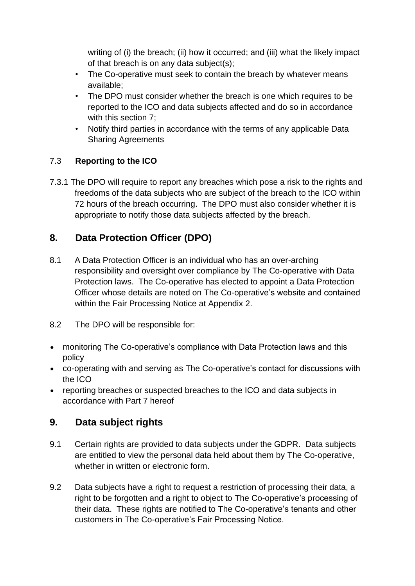writing of (i) the breach; (ii) how it occurred; and (iii) what the likely impact of that breach is on any data subject(s);

- The Co-operative must seek to contain the breach by whatever means available;
- The DPO must consider whether the breach is one which requires to be reported to the ICO and data subjects affected and do so in accordance with this section 7;
- Notify third parties in accordance with the terms of any applicable Data Sharing Agreements

# 7.3 **Reporting to the ICO**

7.3.1 The DPO will require to report any breaches which pose a risk to the rights and freedoms of the data subjects who are subject of the breach to the ICO within 72 hours of the breach occurring. The DPO must also consider whether it is appropriate to notify those data subjects affected by the breach.

# **8. Data Protection Officer (DPO)**

- 8.1 A Data Protection Officer is an individual who has an over-arching responsibility and oversight over compliance by The Co-operative with Data Protection laws. The Co-operative has elected to appoint a Data Protection Officer whose details are noted on The Co-operative's website and contained within the Fair Processing Notice at Appendix 2.
- 8.2 The DPO will be responsible for:
- monitoring The Co-operative's compliance with Data Protection laws and this policy
- co-operating with and serving as The Co-operative's contact for discussions with the ICO
- reporting breaches or suspected breaches to the ICO and data subjects in accordance with Part 7 hereof

# **9. Data subject rights**

- 9.1 Certain rights are provided to data subjects under the GDPR. Data subjects are entitled to view the personal data held about them by The Co-operative, whether in written or electronic form.
- 9.2 Data subjects have a right to request a restriction of processing their data, a right to be forgotten and a right to object to The Co-operative's processing of their data. These rights are notified to The Co-operative's tenants and other customers in The Co-operative's Fair Processing Notice.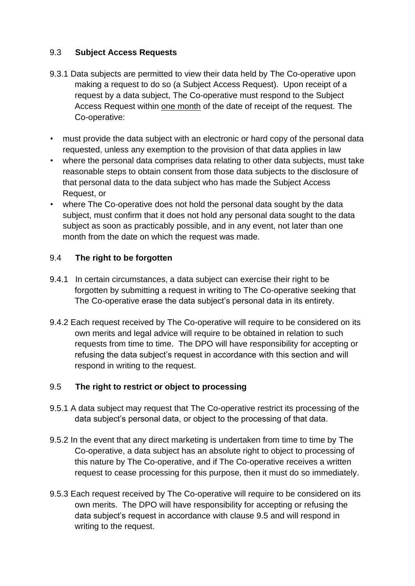## 9.3 **Subject Access Requests**

- 9.3.1 Data subjects are permitted to view their data held by The Co-operative upon making a request to do so (a Subject Access Request). Upon receipt of a request by a data subject, The Co-operative must respond to the Subject Access Request within one month of the date of receipt of the request. The Co-operative:
- must provide the data subject with an electronic or hard copy of the personal data requested, unless any exemption to the provision of that data applies in law
- where the personal data comprises data relating to other data subjects, must take reasonable steps to obtain consent from those data subjects to the disclosure of that personal data to the data subject who has made the Subject Access Request, or
- where The Co-operative does not hold the personal data sought by the data subject, must confirm that it does not hold any personal data sought to the data subject as soon as practicably possible, and in any event, not later than one month from the date on which the request was made.

## 9.4 **The right to be forgotten**

- 9.4.1 In certain circumstances, a data subject can exercise their right to be forgotten by submitting a request in writing to The Co-operative seeking that The Co-operative erase the data subject's personal data in its entirety.
- 9.4.2 Each request received by The Co-operative will require to be considered on its own merits and legal advice will require to be obtained in relation to such requests from time to time. The DPO will have responsibility for accepting or refusing the data subject's request in accordance with this section and will respond in writing to the request.

## 9.5 **The right to restrict or object to processing**

- 9.5.1 A data subject may request that The Co-operative restrict its processing of the data subject's personal data, or object to the processing of that data.
- 9.5.2 In the event that any direct marketing is undertaken from time to time by The Co-operative, a data subject has an absolute right to object to processing of this nature by The Co-operative, and if The Co-operative receives a written request to cease processing for this purpose, then it must do so immediately.
- 9.5.3 Each request received by The Co-operative will require to be considered on its own merits. The DPO will have responsibility for accepting or refusing the data subject's request in accordance with clause 9.5 and will respond in writing to the request.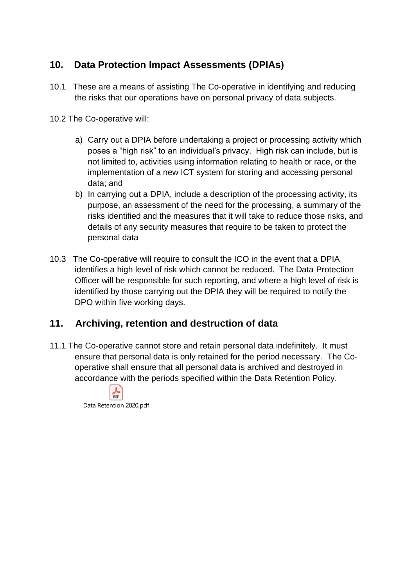# **10. Data Protection Impact Assessments (DPIAs)**

10.1 These are a means of assisting The Co-operative in identifying and reducing the risks that our operations have on personal privacy of data subjects.

10.2 The Co-operative will:

- a) Carry out a DPIA before undertaking a project or processing activity which poses a "high risk" to an individual's privacy. High risk can include, but is not limited to, activities using information relating to health or race, or the implementation of a new ICT system for storing and accessing personal data; and
- b) In carrying out a DPIA, include a description of the processing activity, its purpose, an assessment of the need for the processing, a summary of the risks identified and the measures that it will take to reduce those risks, and details of any security measures that require to be taken to protect the personal data
- 10.3 The Co-operative will require to consult the ICO in the event that a DPIA identifies a high level of risk which cannot be reduced. The Data Protection Officer will be responsible for such reporting, and where a high level of risk is identified by those carrying out the DPIA they will be required to notify the DPO within five working days.

# **11. Archiving, retention and destruction of data**

11.1 The Co-operative cannot store and retain personal data indefinitely. It must ensure that personal data is only retained for the period necessary. The Cooperative shall ensure that all personal data is archived and destroyed in accordance with the periods specified within the Data Retention Policy.

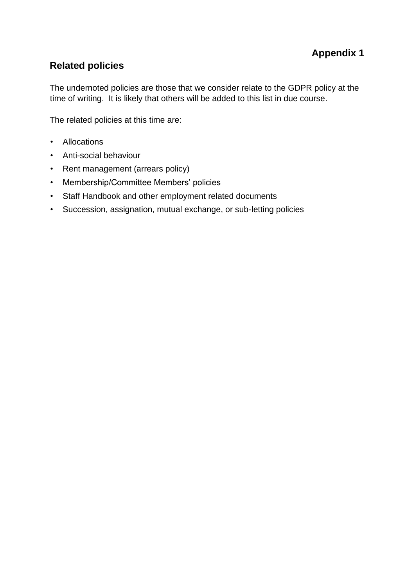# **Related policies**

The undernoted policies are those that we consider relate to the GDPR policy at the time of writing. It is likely that others will be added to this list in due course.

The related policies at this time are:

- Allocations
- Anti-social behaviour
- Rent management (arrears policy)
- Membership/Committee Members' policies
- Staff Handbook and other employment related documents
- Succession, assignation, mutual exchange, or sub-letting policies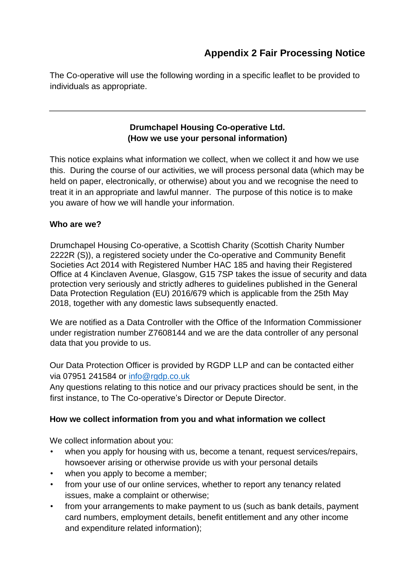The Co-operative will use the following wording in a specific leaflet to be provided to individuals as appropriate.

# **Drumchapel Housing Co-operative Ltd. (How we use your personal information)**

This notice explains what information we collect, when we collect it and how we use this. During the course of our activities, we will process personal data (which may be held on paper, electronically, or otherwise) about you and we recognise the need to treat it in an appropriate and lawful manner. The purpose of this notice is to make you aware of how we will handle your information.

## **Who are we?**

Drumchapel Housing Co-operative, a Scottish Charity (Scottish Charity Number 2222R (S)), a registered society under the Co-operative and Community Benefit Societies Act 2014 with Registered Number HAC 185 and having their Registered Office at 4 Kinclaven Avenue, Glasgow, G15 7SP takes the issue of security and data protection very seriously and strictly adheres to guidelines published in the General Data Protection Regulation (EU) 2016/679 which is applicable from the 25th May 2018, together with any domestic laws subsequently enacted.

We are notified as a Data Controller with the Office of the Information Commissioner under registration number Z7608144 and we are the data controller of any personal data that you provide to us.

Our Data Protection Officer is provided by RGDP LLP and can be contacted either via 07951 241584 or [info@rgdp.co.uk](mailto:info@rgdp.co.uk)

Any questions relating to this notice and our privacy practices should be sent, in the first instance, to The Co-operative's Director or Depute Director.

## **How we collect information from you and what information we collect**

We collect information about you:

- when you apply for housing with us, become a tenant, request services/repairs, howsoever arising or otherwise provide us with your personal details
- when you apply to become a member;
- from your use of our online services, whether to report any tenancy related issues, make a complaint or otherwise;
- from your arrangements to make payment to us (such as bank details, payment card numbers, employment details, benefit entitlement and any other income and expenditure related information);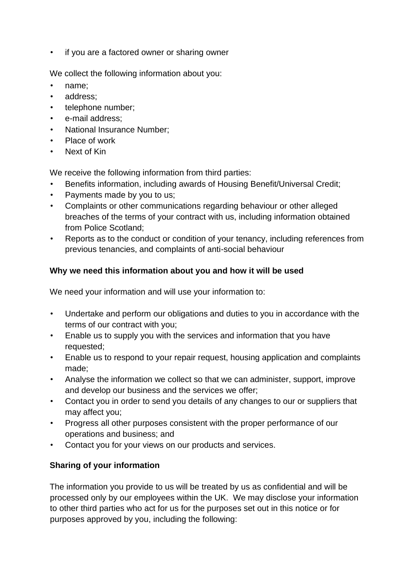• if you are a factored owner or sharing owner

We collect the following information about you:

- name:
- address;
- telephone number;
- e-mail address:
- National Insurance Number;
- Place of work
- Next of Kin

We receive the following information from third parties:

- Benefits information, including awards of Housing Benefit/Universal Credit;
- Payments made by you to us;
- Complaints or other communications regarding behaviour or other alleged breaches of the terms of your contract with us, including information obtained from Police Scotland;
- Reports as to the conduct or condition of your tenancy, including references from previous tenancies, and complaints of anti-social behaviour

## **Why we need this information about you and how it will be used**

We need your information and will use your information to:

- Undertake and perform our obligations and duties to you in accordance with the terms of our contract with you;
- Enable us to supply you with the services and information that you have requested;
- Enable us to respond to your repair request, housing application and complaints made;
- Analyse the information we collect so that we can administer, support, improve and develop our business and the services we offer;
- Contact you in order to send you details of any changes to our or suppliers that may affect you;
- Progress all other purposes consistent with the proper performance of our operations and business; and
- Contact you for your views on our products and services.

# **Sharing of your information**

The information you provide to us will be treated by us as confidential and will be processed only by our employees within the UK. We may disclose your information to other third parties who act for us for the purposes set out in this notice or for purposes approved by you, including the following: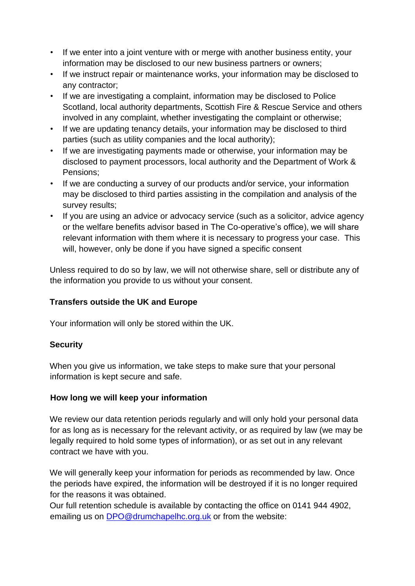- If we enter into a joint venture with or merge with another business entity, your information may be disclosed to our new business partners or owners;
- If we instruct repair or maintenance works, your information may be disclosed to any contractor;
- If we are investigating a complaint, information may be disclosed to Police Scotland, local authority departments, Scottish Fire & Rescue Service and others involved in any complaint, whether investigating the complaint or otherwise;
- If we are updating tenancy details, your information may be disclosed to third parties (such as utility companies and the local authority);
- If we are investigating payments made or otherwise, your information may be disclosed to payment processors, local authority and the Department of Work & Pensions;
- If we are conducting a survey of our products and/or service, your information may be disclosed to third parties assisting in the compilation and analysis of the survey results;
- If you are using an advice or advocacy service (such as a solicitor, advice agency or the welfare benefits advisor based in The Co-operative's office), we will share relevant information with them where it is necessary to progress your case. This will, however, only be done if you have signed a specific consent

Unless required to do so by law, we will not otherwise share, sell or distribute any of the information you provide to us without your consent.

## **Transfers outside the UK and Europe**

Your information will only be stored within the UK.

## **Security**

When you give us information, we take steps to make sure that your personal information is kept secure and safe.

## **How long we will keep your information**

We review our data retention periods regularly and will only hold your personal data for as long as is necessary for the relevant activity, or as required by law (we may be legally required to hold some types of information), or as set out in any relevant contract we have with you.

We will generally keep your information for periods as recommended by law. Once the periods have expired, the information will be destroyed if it is no longer required for the reasons it was obtained.

Our full retention schedule is available by contacting the office on 0141 944 4902, emailing us on DPO@drumchapelhc.org.uk or from the website: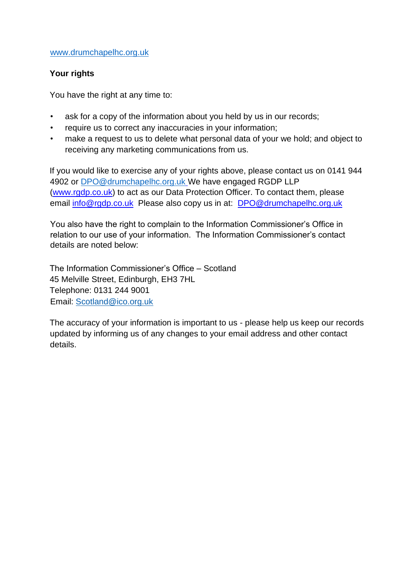### [www.drumchapelhc.org.uk](http://www.drumchapelhc.org.uk/)

## **Your rights**

You have the right at any time to:

- ask for a copy of the information about you held by us in our records;
- require us to correct any inaccuracies in your information;
- make a request to us to delete what personal data of your we hold; and object to receiving any marketing communications from us.

If you would like to exercise any of your rights above, please contact us on 0141 944 4902 or [DPO@drumchapelhc.org.uk](mailto:DPO@drumchapelhc.org.uk) We have engaged RGDP LLP [\(www.rgdp.co.uk\)](http://www.rgdp.co.uk/) to act as our Data Protection Officer. To contact them, please email [info@rgdp.co.uk](mailto:info@rgdp.co.uk) Please also copy us in at: DPO@drumchapelhc.org.uk

You also have the right to complain to the Information Commissioner's Office in relation to our use of your information. The Information Commissioner's contact details are noted below:

The Information Commissioner's Office – Scotland 45 Melville Street, Edinburgh, EH3 7HL Telephone: 0131 244 9001 Email: Scotland@ico.org.uk

The accuracy of your information is important to us - please help us keep our records updated by informing us of any changes to your email address and other contact details.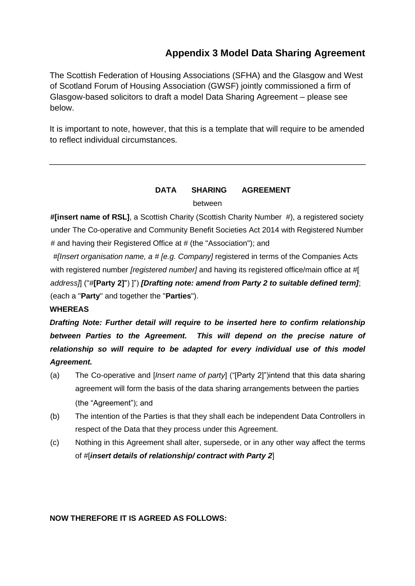# **Appendix 3 Model Data Sharing Agreement**

The Scottish Federation of Housing Associations (SFHA) and the Glasgow and West of Scotland Forum of Housing Association (GWSF) jointly commissioned a firm of Glasgow-based solicitors to draft a model Data Sharing Agreement – please see below.

It is important to note, however, that this is a template that will require to be amended to reflect individual circumstances.

## **DATA SHARING AGREEMENT**  between

**#[insert name of RSL]**, a Scottish Charity (Scottish Charity Number #), a registered society under The Co-operative and Community Benefit Societies Act 2014 with Registered Number # and having their Registered Office at # (the "Association"); and

*#[Insert organisation name, a # [e.g. Company]* registered in terms of the Companies Acts with registered number *[registered number]* and having its registered office/main office at #[ *address]*] ("#**[Party 2]**") ]") *[Drafting note: amend from Party 2 to suitable defined term]*; (each a "**Party**" and together the "**Parties**").

#### **WHEREAS**

*Drafting Note: Further detail will require to be inserted here to confirm relationship*  between Parties to the Agreement. This will depend on the precise nature of *relationship so will require to be adapted for every individual use of this model Agreement.*

- (a) The Co-operative and [*Insert name of party*] ("[Party 2]")intend that this data sharing agreement will form the basis of the data sharing arrangements between the parties (the "Agreement"); and
- (b) The intention of the Parties is that they shall each be independent Data Controllers in respect of the Data that they process under this Agreement.
- (c) Nothing in this Agreement shall alter, supersede, or in any other way affect the terms of #[*insert details of relationship/ contract with Party 2*]

## **NOW THEREFORE IT IS AGREED AS FOLLOWS:**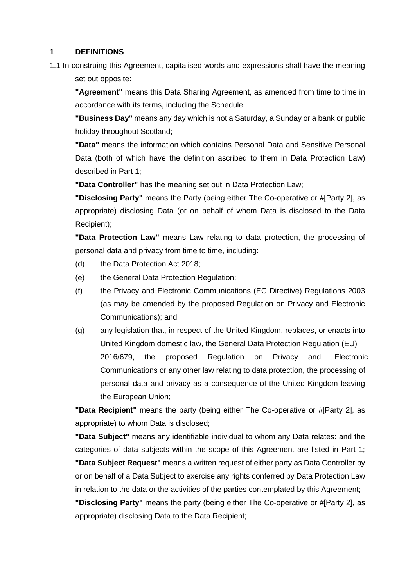### **1 DEFINITIONS**

1.1 In construing this Agreement, capitalised words and expressions shall have the meaning set out opposite:

**"Agreement"** means this Data Sharing Agreement, as amended from time to time in accordance with its terms, including the Schedule;

**"Business Day"** means any day which is not a Saturday, a Sunday or a bank or public holiday throughout Scotland;

**"Data"** means the information which contains Personal Data and Sensitive Personal Data (both of which have the definition ascribed to them in Data Protection Law) described in Part 1;

**"Data Controller"** has the meaning set out in Data Protection Law;

**"Disclosing Party"** means the Party (being either The Co-operative or #[Party 2], as appropriate) disclosing Data (or on behalf of whom Data is disclosed to the Data Recipient);

**"Data Protection Law"** means Law relating to data protection, the processing of personal data and privacy from time to time, including:

- (d) the Data Protection Act 2018;
- (e) the General Data Protection Regulation;
- (f) the Privacy and Electronic Communications (EC Directive) Regulations 2003 (as may be amended by the proposed Regulation on Privacy and Electronic Communications); and
- (g) any legislation that, in respect of the United Kingdom, replaces, or enacts into United Kingdom domestic law, the General Data Protection Regulation (EU) 2016/679, the proposed Regulation on Privacy and Electronic Communications or any other law relating to data protection, the processing of personal data and privacy as a consequence of the United Kingdom leaving the European Union;

**"Data Recipient"** means the party (being either The Co-operative or #[Party 2], as appropriate) to whom Data is disclosed;

**"Data Subject"** means any identifiable individual to whom any Data relates: and the categories of data subjects within the scope of this Agreement are listed in Part 1; **"Data Subject Request"** means a written request of either party as Data Controller by or on behalf of a Data Subject to exercise any rights conferred by Data Protection Law in relation to the data or the activities of the parties contemplated by this Agreement;

**"Disclosing Party"** means the party (being either The Co-operative or #[Party 2], as appropriate) disclosing Data to the Data Recipient;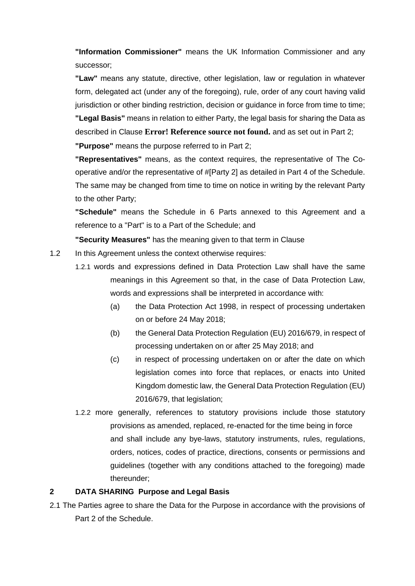**"Information Commissioner"** means the UK Information Commissioner and any successor;

**"Law"** means any statute, directive, other legislation, law or regulation in whatever form, delegated act (under any of the foregoing), rule, order of any court having valid jurisdiction or other binding restriction, decision or guidance in force from time to time; **"Legal Basis"** means in relation to either Party, the legal basis for sharing the Data as described in Clause **Error! Reference source not found.** and as set out in Part 2;

**"Purpose"** means the purpose referred to in Part 2;

**"Representatives"** means, as the context requires, the representative of The Cooperative and/or the representative of #[Party 2] as detailed in Part 4 of the Schedule. The same may be changed from time to time on notice in writing by the relevant Party to the other Party;

**"Schedule"** means the Schedule in 6 Parts annexed to this Agreement and a reference to a "Part" is to a Part of the Schedule; and

**"Security Measures"** has the meaning given to that term in Clause

- 1.2 In this Agreement unless the context otherwise requires:
	- 1.2.1 words and expressions defined in Data Protection Law shall have the same meanings in this Agreement so that, in the case of Data Protection Law, words and expressions shall be interpreted in accordance with:
		- (a) the Data Protection Act 1998, in respect of processing undertaken on or before 24 May 2018;
		- (b) the General Data Protection Regulation (EU) 2016/679, in respect of processing undertaken on or after 25 May 2018; and
		- (c) in respect of processing undertaken on or after the date on which legislation comes into force that replaces, or enacts into United Kingdom domestic law, the General Data Protection Regulation (EU) 2016/679, that legislation;
	- 1.2.2 more generally, references to statutory provisions include those statutory provisions as amended, replaced, re-enacted for the time being in force and shall include any bye-laws, statutory instruments, rules, regulations, orders, notices, codes of practice, directions, consents or permissions and guidelines (together with any conditions attached to the foregoing) made thereunder;

## **2 DATA SHARING Purpose and Legal Basis**

2.1 The Parties agree to share the Data for the Purpose in accordance with the provisions of Part 2 of the Schedule.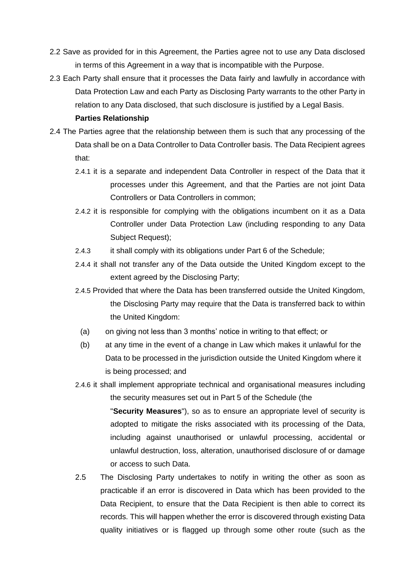- 2.2 Save as provided for in this Agreement, the Parties agree not to use any Data disclosed in terms of this Agreement in a way that is incompatible with the Purpose.
- 2.3 Each Party shall ensure that it processes the Data fairly and lawfully in accordance with Data Protection Law and each Party as Disclosing Party warrants to the other Party in relation to any Data disclosed, that such disclosure is justified by a Legal Basis.

#### **Parties Relationship**

- 2.4 The Parties agree that the relationship between them is such that any processing of the Data shall be on a Data Controller to Data Controller basis. The Data Recipient agrees that:
	- 2.4.1 it is a separate and independent Data Controller in respect of the Data that it processes under this Agreement, and that the Parties are not joint Data Controllers or Data Controllers in common;
	- 2.4.2 it is responsible for complying with the obligations incumbent on it as a Data Controller under Data Protection Law (including responding to any Data Subject Request);
	- 2.4.3 it shall comply with its obligations under Part 6 of the Schedule;
	- 2.4.4 it shall not transfer any of the Data outside the United Kingdom except to the extent agreed by the Disclosing Party;
	- 2.4.5 Provided that where the Data has been transferred outside the United Kingdom, the Disclosing Party may require that the Data is transferred back to within the United Kingdom:
		- (a) on giving not less than 3 months' notice in writing to that effect; or
		- (b) at any time in the event of a change in Law which makes it unlawful for the Data to be processed in the jurisdiction outside the United Kingdom where it is being processed; and
	- 2.4.6 it shall implement appropriate technical and organisational measures including the security measures set out in Part 5 of the Schedule (the

"**Security Measures**"), so as to ensure an appropriate level of security is adopted to mitigate the risks associated with its processing of the Data, including against unauthorised or unlawful processing, accidental or unlawful destruction, loss, alteration, unauthorised disclosure of or damage or access to such Data.

2.5 The Disclosing Party undertakes to notify in writing the other as soon as practicable if an error is discovered in Data which has been provided to the Data Recipient, to ensure that the Data Recipient is then able to correct its records. This will happen whether the error is discovered through existing Data quality initiatives or is flagged up through some other route (such as the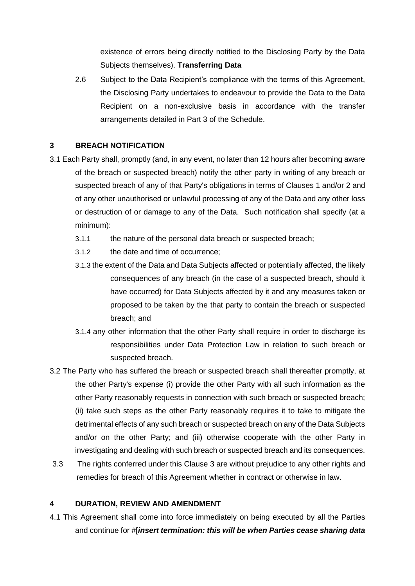existence of errors being directly notified to the Disclosing Party by the Data Subjects themselves). **Transferring Data** 

2.6 Subject to the Data Recipient's compliance with the terms of this Agreement, the Disclosing Party undertakes to endeavour to provide the Data to the Data Recipient on a non-exclusive basis in accordance with the transfer arrangements detailed in Part 3 of the Schedule.

### **3 BREACH NOTIFICATION**

- 3.1 Each Party shall, promptly (and, in any event, no later than 12 hours after becoming aware of the breach or suspected breach) notify the other party in writing of any breach or suspected breach of any of that Party's obligations in terms of Clauses 1 and/or 2 and of any other unauthorised or unlawful processing of any of the Data and any other loss or destruction of or damage to any of the Data. Such notification shall specify (at a minimum):
	- 3.1.1 the nature of the personal data breach or suspected breach;
	- 3.1.2 the date and time of occurrence;
	- 3.1.3 the extent of the Data and Data Subjects affected or potentially affected, the likely consequences of any breach (in the case of a suspected breach, should it have occurred) for Data Subjects affected by it and any measures taken or proposed to be taken by the that party to contain the breach or suspected breach; and
	- 3.1.4 any other information that the other Party shall require in order to discharge its responsibilities under Data Protection Law in relation to such breach or suspected breach.
- 3.2 The Party who has suffered the breach or suspected breach shall thereafter promptly, at the other Party's expense (i) provide the other Party with all such information as the other Party reasonably requests in connection with such breach or suspected breach; (ii) take such steps as the other Party reasonably requires it to take to mitigate the detrimental effects of any such breach or suspected breach on any of the Data Subjects and/or on the other Party; and (iii) otherwise cooperate with the other Party in investigating and dealing with such breach or suspected breach and its consequences.
- 3.3 The rights conferred under this Clause 3 are without prejudice to any other rights and remedies for breach of this Agreement whether in contract or otherwise in law.

### **4 DURATION, REVIEW AND AMENDMENT**

4.1 This Agreement shall come into force immediately on being executed by all the Parties and continue for #[*insert termination: this will be when Parties cease sharing data*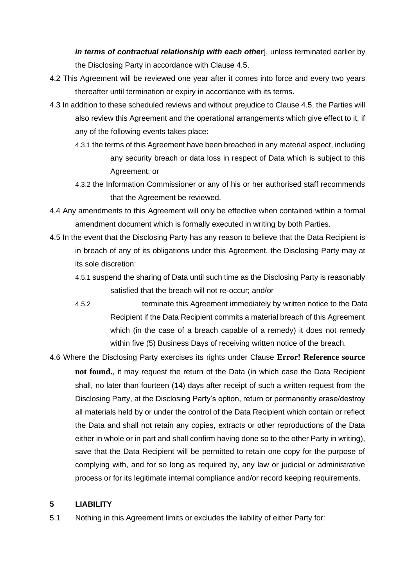*in terms of contractual relationship with each other*], unless terminated earlier by the Disclosing Party in accordance with Clause 4.5.

- 4.2 This Agreement will be reviewed one year after it comes into force and every two years thereafter until termination or expiry in accordance with its terms.
- 4.3 In addition to these scheduled reviews and without prejudice to Clause 4.5, the Parties will also review this Agreement and the operational arrangements which give effect to it, if any of the following events takes place:
	- 4.3.1 the terms of this Agreement have been breached in any material aspect, including any security breach or data loss in respect of Data which is subject to this Agreement; or
	- 4.3.2 the Information Commissioner or any of his or her authorised staff recommends that the Agreement be reviewed.
- 4.4 Any amendments to this Agreement will only be effective when contained within a formal amendment document which is formally executed in writing by both Parties.
- 4.5 In the event that the Disclosing Party has any reason to believe that the Data Recipient is in breach of any of its obligations under this Agreement, the Disclosing Party may at its sole discretion:
	- 4.5.1 suspend the sharing of Data until such time as the Disclosing Party is reasonably satisfied that the breach will not re-occur; and/or
	- 4.5.2 terminate this Agreement immediately by written notice to the Data Recipient if the Data Recipient commits a material breach of this Agreement which (in the case of a breach capable of a remedy) it does not remedy within five (5) Business Days of receiving written notice of the breach.
- 4.6 Where the Disclosing Party exercises its rights under Clause **Error! Reference source not found.**, it may request the return of the Data (in which case the Data Recipient shall, no later than fourteen (14) days after receipt of such a written request from the Disclosing Party, at the Disclosing Party's option, return or permanently erase/destroy all materials held by or under the control of the Data Recipient which contain or reflect the Data and shall not retain any copies, extracts or other reproductions of the Data either in whole or in part and shall confirm having done so to the other Party in writing), save that the Data Recipient will be permitted to retain one copy for the purpose of complying with, and for so long as required by, any law or judicial or administrative process or for its legitimate internal compliance and/or record keeping requirements.

## **5 LIABILITY**

5.1 Nothing in this Agreement limits or excludes the liability of either Party for: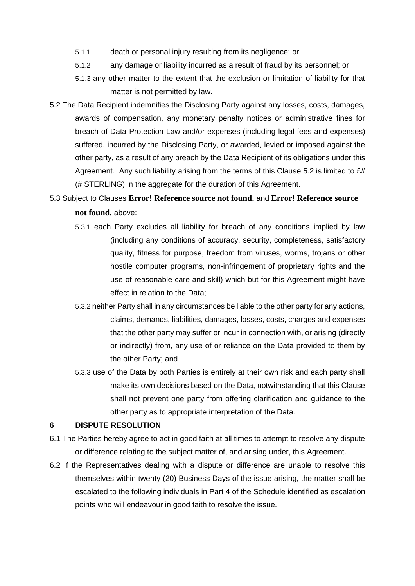- 5.1.1 death or personal injury resulting from its negligence; or
- 5.1.2 any damage or liability incurred as a result of fraud by its personnel; or
- 5.1.3 any other matter to the extent that the exclusion or limitation of liability for that matter is not permitted by law.
- 5.2 The Data Recipient indemnifies the Disclosing Party against any losses, costs, damages, awards of compensation, any monetary penalty notices or administrative fines for breach of Data Protection Law and/or expenses (including legal fees and expenses) suffered, incurred by the Disclosing Party, or awarded, levied or imposed against the other party, as a result of any breach by the Data Recipient of its obligations under this Agreement. Any such liability arising from the terms of this Clause 5.2 is limited to £# (# STERLING) in the aggregate for the duration of this Agreement.
- 5.3 Subject to Clauses **Error! Reference source not found.** and **Error! Reference source not found.** above:
	- 5.3.1 each Party excludes all liability for breach of any conditions implied by law (including any conditions of accuracy, security, completeness, satisfactory quality, fitness for purpose, freedom from viruses, worms, trojans or other hostile computer programs, non-infringement of proprietary rights and the use of reasonable care and skill) which but for this Agreement might have effect in relation to the Data;
	- 5.3.2 neither Party shall in any circumstances be liable to the other party for any actions, claims, demands, liabilities, damages, losses, costs, charges and expenses that the other party may suffer or incur in connection with, or arising (directly or indirectly) from, any use of or reliance on the Data provided to them by the other Party; and
	- 5.3.3 use of the Data by both Parties is entirely at their own risk and each party shall make its own decisions based on the Data, notwithstanding that this Clause shall not prevent one party from offering clarification and guidance to the other party as to appropriate interpretation of the Data.

#### **6 DISPUTE RESOLUTION**

- 6.1 The Parties hereby agree to act in good faith at all times to attempt to resolve any dispute or difference relating to the subject matter of, and arising under, this Agreement.
- 6.2 If the Representatives dealing with a dispute or difference are unable to resolve this themselves within twenty (20) Business Days of the issue arising, the matter shall be escalated to the following individuals in Part 4 of the Schedule identified as escalation points who will endeavour in good faith to resolve the issue.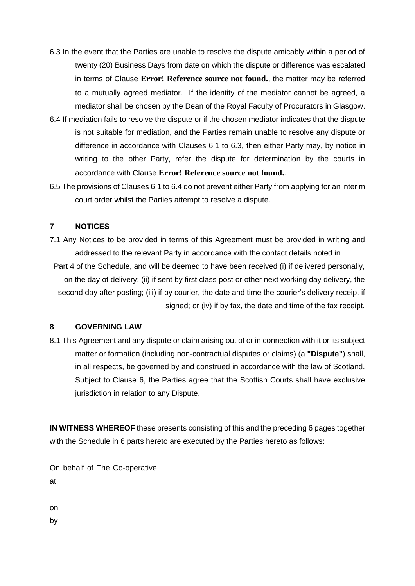- 6.3 In the event that the Parties are unable to resolve the dispute amicably within a period of twenty (20) Business Days from date on which the dispute or difference was escalated in terms of Clause **Error! Reference source not found.**, the matter may be referred to a mutually agreed mediator. If the identity of the mediator cannot be agreed, a mediator shall be chosen by the Dean of the Royal Faculty of Procurators in Glasgow.
- 6.4 If mediation fails to resolve the dispute or if the chosen mediator indicates that the dispute is not suitable for mediation, and the Parties remain unable to resolve any dispute or difference in accordance with Clauses 6.1 to 6.3, then either Party may, by notice in writing to the other Party, refer the dispute for determination by the courts in accordance with Clause **Error! Reference source not found.**.
- 6.5 The provisions of Clauses 6.1 to 6.4 do not prevent either Party from applying for an interim court order whilst the Parties attempt to resolve a dispute.

### **7 NOTICES**

7.1 Any Notices to be provided in terms of this Agreement must be provided in writing and addressed to the relevant Party in accordance with the contact details noted in Part 4 of the Schedule, and will be deemed to have been received (i) if delivered personally, on the day of delivery; (ii) if sent by first class post or other next working day delivery, the second day after posting; (iii) if by courier, the date and time the courier's delivery receipt if

signed; or (iv) if by fax, the date and time of the fax receipt.

#### **8 GOVERNING LAW**

8.1 This Agreement and any dispute or claim arising out of or in connection with it or its subject matter or formation (including non-contractual disputes or claims) (a **"Dispute"**) shall, in all respects, be governed by and construed in accordance with the law of Scotland. Subject to Clause 6, the Parties agree that the Scottish Courts shall have exclusive jurisdiction in relation to any Dispute.

**IN WITNESS WHEREOF** these presents consisting of this and the preceding 6 pages together with the Schedule in 6 parts hereto are executed by the Parties hereto as follows:

On behalf of The Co-operative at

on

by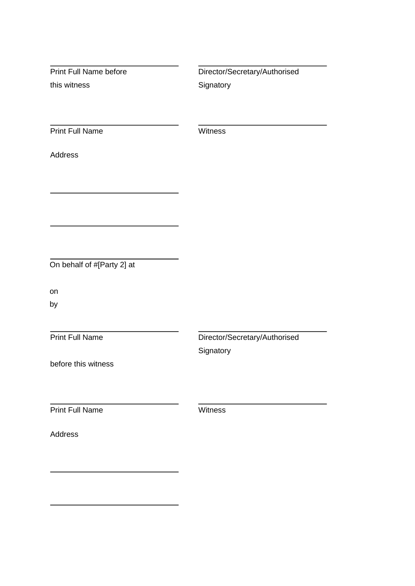Print Full Name before this witness Director/Secretary/Authorised **Signatory** Print Full Name Witness Address On behalf of #[Party 2] at on by Print Full Name before this witness Director/Secretary/Authorised **Signatory Print Full Name** Witness Address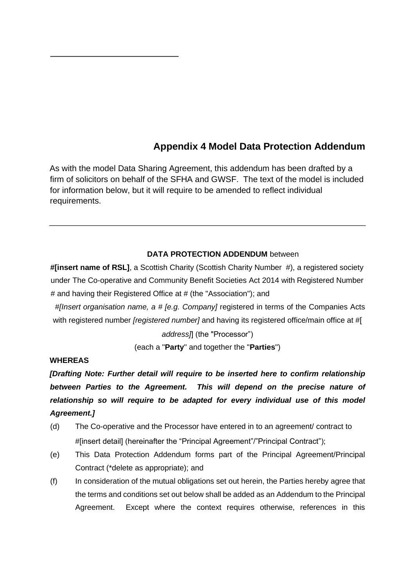# **Appendix 4 Model Data Protection Addendum**

As with the model Data Sharing Agreement, this addendum has been drafted by a firm of solicitors on behalf of the SFHA and GWSF. The text of the model is included for information below, but it will require to be amended to reflect individual requirements.

#### **DATA PROTECTION ADDENDUM** between

**#[insert name of RSL]**, a Scottish Charity (Scottish Charity Number #), a registered society under The Co-operative and Community Benefit Societies Act 2014 with Registered Number # and having their Registered Office at # (the "Association"); and

*#[Insert organisation name, a # [e.g. Company]* registered in terms of the Companies Acts with registered number *[registered number]* and having its registered office/main office at #[

*address]*] (the "Processor")

(each a "**Party**" and together the "**Parties**")

### **WHEREAS**

*[Drafting Note: Further detail will require to be inserted here to confirm relationship*  between Parties to the Agreement. This will depend on the precise nature of *relationship so will require to be adapted for every individual use of this model Agreement.]*

- (d) The Co-operative and the Processor have entered in to an agreement/ contract to #[insert detail] (hereinafter the "Principal Agreement"/"Principal Contract");
- (e) This Data Protection Addendum forms part of the Principal Agreement/Principal Contract (\*delete as appropriate); and
- (f) In consideration of the mutual obligations set out herein, the Parties hereby agree that the terms and conditions set out below shall be added as an Addendum to the Principal Agreement. Except where the context requires otherwise, references in this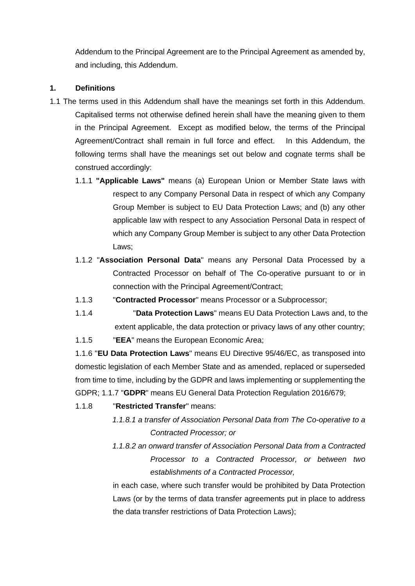Addendum to the Principal Agreement are to the Principal Agreement as amended by, and including, this Addendum.

### **1. Definitions**

- 1.1 The terms used in this Addendum shall have the meanings set forth in this Addendum. Capitalised terms not otherwise defined herein shall have the meaning given to them in the Principal Agreement. Except as modified below, the terms of the Principal Agreement/Contract shall remain in full force and effect. In this Addendum, the following terms shall have the meanings set out below and cognate terms shall be construed accordingly:
	- 1.1.1 **"Applicable Laws"** means (a) European Union or Member State laws with respect to any Company Personal Data in respect of which any Company Group Member is subject to EU Data Protection Laws; and (b) any other applicable law with respect to any Association Personal Data in respect of which any Company Group Member is subject to any other Data Protection Laws;
	- 1.1.2 "**Association Personal Data**" means any Personal Data Processed by a Contracted Processor on behalf of The Co-operative pursuant to or in connection with the Principal Agreement/Contract;
	- 1.1.3 "**Contracted Processor**" means Processor or a Subprocessor;
	- 1.1.4 "**Data Protection Laws**" means EU Data Protection Laws and, to the extent applicable, the data protection or privacy laws of any other country;
	- 1.1.5 "**EEA**" means the European Economic Area;

1.1.6 "**EU Data Protection Laws**" means EU Directive 95/46/EC, as transposed into domestic legislation of each Member State and as amended, replaced or superseded from time to time, including by the GDPR and laws implementing or supplementing the GDPR; 1.1.7 "**GDPR**" means EU General Data Protection Regulation 2016/679;

- 1.1.8 "**Restricted Transfer**" means:
	- *1.1.8.1 a transfer of Association Personal Data from The Co-operative to a Contracted Processor; or*
	- *1.1.8.2 an onward transfer of Association Personal Data from a Contracted Processor to a Contracted Processor, or between two establishments of a Contracted Processor,*

in each case, where such transfer would be prohibited by Data Protection Laws (or by the terms of data transfer agreements put in place to address the data transfer restrictions of Data Protection Laws);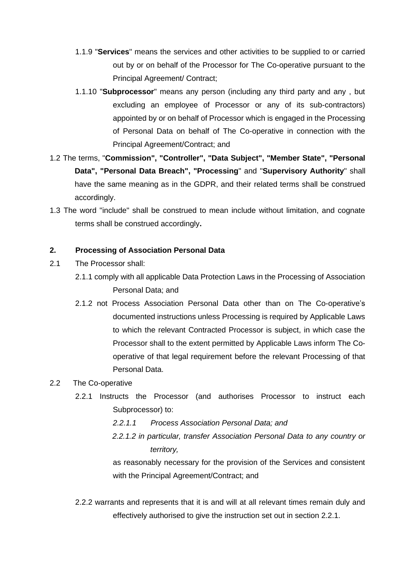- 1.1.9 "**Services**" means the services and other activities to be supplied to or carried out by or on behalf of the Processor for The Co-operative pursuant to the Principal Agreement/ Contract;
- 1.1.10 "**Subprocessor**" means any person (including any third party and any , but excluding an employee of Processor or any of its sub-contractors) appointed by or on behalf of Processor which is engaged in the Processing of Personal Data on behalf of The Co-operative in connection with the Principal Agreement/Contract; and
- 1.2 The terms, "**Commission", "Controller", "Data Subject", "Member State", "Personal Data", "Personal Data Breach", "Processing**" and "**Supervisory Authority**" shall have the same meaning as in the GDPR, and their related terms shall be construed accordingly.
- 1.3 The word "include" shall be construed to mean include without limitation, and cognate terms shall be construed accordingly**.**

## **2. Processing of Association Personal Data**

- 2.1 The Processor shall:
	- 2.1.1 comply with all applicable Data Protection Laws in the Processing of Association Personal Data; and
	- 2.1.2 not Process Association Personal Data other than on The Co-operative's documented instructions unless Processing is required by Applicable Laws to which the relevant Contracted Processor is subject, in which case the Processor shall to the extent permitted by Applicable Laws inform The Cooperative of that legal requirement before the relevant Processing of that Personal Data.

## 2.2 The Co-operative

- 2.2.1 Instructs the Processor (and authorises Processor to instruct each Subprocessor) to:
	- *2.2.1.1 Process Association Personal Data; and*
	- *2.2.1.2 in particular, transfer Association Personal Data to any country or territory,*

as reasonably necessary for the provision of the Services and consistent with the Principal Agreement/Contract; and

2.2.2 warrants and represents that it is and will at all relevant times remain duly and effectively authorised to give the instruction set out in section 2.2.1.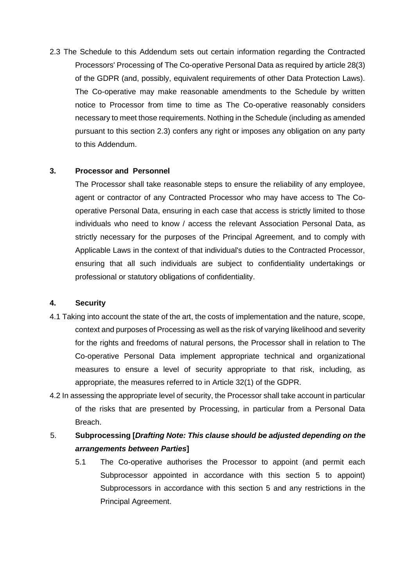2.3 The Schedule to this Addendum sets out certain information regarding the Contracted Processors' Processing of The Co-operative Personal Data as required by article 28(3) of the GDPR (and, possibly, equivalent requirements of other Data Protection Laws). The Co-operative may make reasonable amendments to the Schedule by written notice to Processor from time to time as The Co-operative reasonably considers necessary to meet those requirements. Nothing in the Schedule (including as amended pursuant to this section 2.3) confers any right or imposes any obligation on any party to this Addendum.

### **3. Processor and Personnel**

The Processor shall take reasonable steps to ensure the reliability of any employee, agent or contractor of any Contracted Processor who may have access to The Cooperative Personal Data, ensuring in each case that access is strictly limited to those individuals who need to know / access the relevant Association Personal Data, as strictly necessary for the purposes of the Principal Agreement, and to comply with Applicable Laws in the context of that individual's duties to the Contracted Processor, ensuring that all such individuals are subject to confidentiality undertakings or professional or statutory obligations of confidentiality.

#### **4. Security**

- 4.1 Taking into account the state of the art, the costs of implementation and the nature, scope, context and purposes of Processing as well as the risk of varying likelihood and severity for the rights and freedoms of natural persons, the Processor shall in relation to The Co-operative Personal Data implement appropriate technical and organizational measures to ensure a level of security appropriate to that risk, including, as appropriate, the measures referred to in Article 32(1) of the GDPR.
- 4.2 In assessing the appropriate level of security, the Processor shall take account in particular of the risks that are presented by Processing, in particular from a Personal Data Breach.
- 5. **Subprocessing [***Drafting Note: This clause should be adjusted depending on the arrangements between Parties***]**
	- 5.1 The Co-operative authorises the Processor to appoint (and permit each Subprocessor appointed in accordance with this section 5 to appoint) Subprocessors in accordance with this section 5 and any restrictions in the Principal Agreement.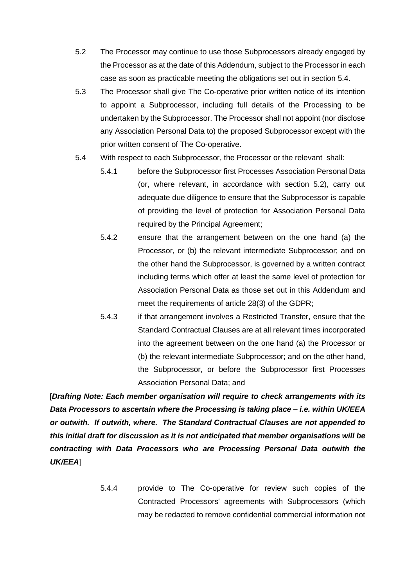- 5.2 The Processor may continue to use those Subprocessors already engaged by the Processor as at the date of this Addendum, subject to the Processor in each case as soon as practicable meeting the obligations set out in section 5.4.
- 5.3 The Processor shall give The Co-operative prior written notice of its intention to appoint a Subprocessor, including full details of the Processing to be undertaken by the Subprocessor. The Processor shall not appoint (nor disclose any Association Personal Data to) the proposed Subprocessor except with the prior written consent of The Co-operative.
- 5.4 With respect to each Subprocessor, the Processor or the relevant shall:
	- 5.4.1 before the Subprocessor first Processes Association Personal Data (or, where relevant, in accordance with section 5.2), carry out adequate due diligence to ensure that the Subprocessor is capable of providing the level of protection for Association Personal Data required by the Principal Agreement;
	- 5.4.2 ensure that the arrangement between on the one hand (a) the Processor, or (b) the relevant intermediate Subprocessor; and on the other hand the Subprocessor, is governed by a written contract including terms which offer at least the same level of protection for Association Personal Data as those set out in this Addendum and meet the requirements of article 28(3) of the GDPR;
	- 5.4.3 if that arrangement involves a Restricted Transfer, ensure that the Standard Contractual Clauses are at all relevant times incorporated into the agreement between on the one hand (a) the Processor or (b) the relevant intermediate Subprocessor; and on the other hand, the Subprocessor, or before the Subprocessor first Processes Association Personal Data; and

[*Drafting Note: Each member organisation will require to check arrangements with its Data Processors to ascertain where the Processing is taking place – i.e. within UK/EEA or outwith. If outwith, where. The Standard Contractual Clauses are not appended to this initial draft for discussion as it is not anticipated that member organisations will be contracting with Data Processors who are Processing Personal Data outwith the UK/EEA*]

> 5.4.4 provide to The Co-operative for review such copies of the Contracted Processors' agreements with Subprocessors (which may be redacted to remove confidential commercial information not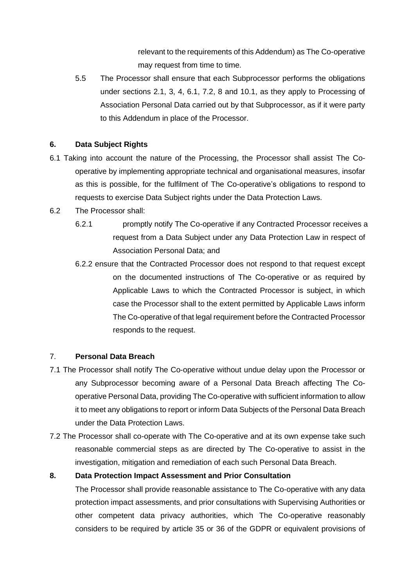relevant to the requirements of this Addendum) as The Co-operative may request from time to time.

5.5 The Processor shall ensure that each Subprocessor performs the obligations under sections 2.1, 3, 4, 6.1, 7.2, 8 and 10.1, as they apply to Processing of Association Personal Data carried out by that Subprocessor, as if it were party to this Addendum in place of the Processor.

## **6. Data Subject Rights**

- 6.1 Taking into account the nature of the Processing, the Processor shall assist The Cooperative by implementing appropriate technical and organisational measures, insofar as this is possible, for the fulfilment of The Co-operative's obligations to respond to requests to exercise Data Subject rights under the Data Protection Laws.
- 6.2 The Processor shall:
	- 6.2.1 promptly notify The Co-operative if any Contracted Processor receives a request from a Data Subject under any Data Protection Law in respect of Association Personal Data; and
	- 6.2.2 ensure that the Contracted Processor does not respond to that request except on the documented instructions of The Co-operative or as required by Applicable Laws to which the Contracted Processor is subject, in which case the Processor shall to the extent permitted by Applicable Laws inform The Co-operative of that legal requirement before the Contracted Processor responds to the request.

### 7. **Personal Data Breach**

- 7.1 The Processor shall notify The Co-operative without undue delay upon the Processor or any Subprocessor becoming aware of a Personal Data Breach affecting The Cooperative Personal Data, providing The Co-operative with sufficient information to allow it to meet any obligations to report or inform Data Subjects of the Personal Data Breach under the Data Protection Laws.
- 7.2 The Processor shall co-operate with The Co-operative and at its own expense take such reasonable commercial steps as are directed by The Co-operative to assist in the investigation, mitigation and remediation of each such Personal Data Breach.

### **8. Data Protection Impact Assessment and Prior Consultation**

The Processor shall provide reasonable assistance to The Co-operative with any data protection impact assessments, and prior consultations with Supervising Authorities or other competent data privacy authorities, which The Co-operative reasonably considers to be required by article 35 or 36 of the GDPR or equivalent provisions of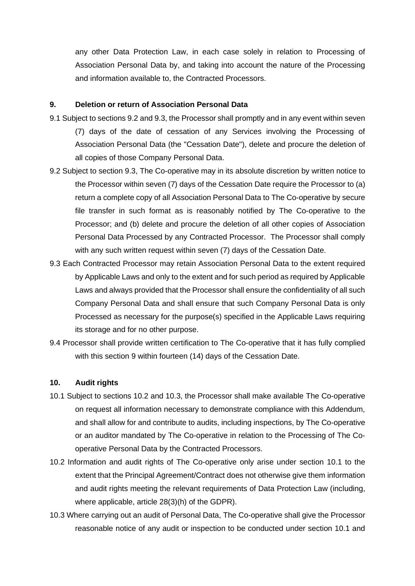any other Data Protection Law, in each case solely in relation to Processing of Association Personal Data by, and taking into account the nature of the Processing and information available to, the Contracted Processors.

#### **9. Deletion or return of Association Personal Data**

- 9.1 Subject to sections 9.2 and 9.3, the Processor shall promptly and in any event within seven (7) days of the date of cessation of any Services involving the Processing of Association Personal Data (the "Cessation Date"), delete and procure the deletion of all copies of those Company Personal Data.
- 9.2 Subject to section 9.3, The Co-operative may in its absolute discretion by written notice to the Processor within seven (7) days of the Cessation Date require the Processor to (a) return a complete copy of all Association Personal Data to The Co-operative by secure file transfer in such format as is reasonably notified by The Co-operative to the Processor; and (b) delete and procure the deletion of all other copies of Association Personal Data Processed by any Contracted Processor. The Processor shall comply with any such written request within seven (7) days of the Cessation Date.
- 9.3 Each Contracted Processor may retain Association Personal Data to the extent required by Applicable Laws and only to the extent and for such period as required by Applicable Laws and always provided that the Processor shall ensure the confidentiality of all such Company Personal Data and shall ensure that such Company Personal Data is only Processed as necessary for the purpose(s) specified in the Applicable Laws requiring its storage and for no other purpose.
- 9.4 Processor shall provide written certification to The Co-operative that it has fully complied with this section 9 within fourteen (14) days of the Cessation Date.

#### **10. Audit rights**

- 10.1 Subject to sections 10.2 and 10.3, the Processor shall make available The Co-operative on request all information necessary to demonstrate compliance with this Addendum, and shall allow for and contribute to audits, including inspections, by The Co-operative or an auditor mandated by The Co-operative in relation to the Processing of The Cooperative Personal Data by the Contracted Processors.
- 10.2 Information and audit rights of The Co-operative only arise under section 10.1 to the extent that the Principal Agreement/Contract does not otherwise give them information and audit rights meeting the relevant requirements of Data Protection Law (including, where applicable, article 28(3)(h) of the GDPR).
- 10.3 Where carrying out an audit of Personal Data, The Co-operative shall give the Processor reasonable notice of any audit or inspection to be conducted under section 10.1 and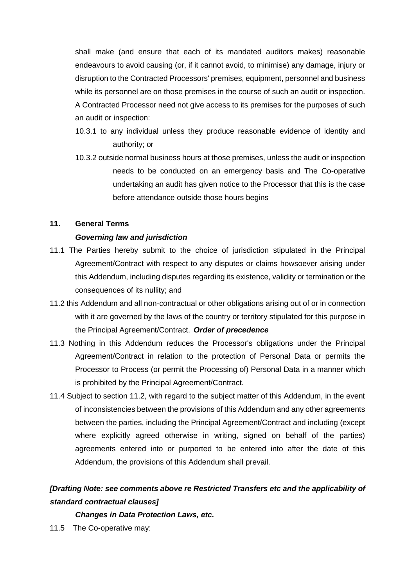shall make (and ensure that each of its mandated auditors makes) reasonable endeavours to avoid causing (or, if it cannot avoid, to minimise) any damage, injury or disruption to the Contracted Processors' premises, equipment, personnel and business while its personnel are on those premises in the course of such an audit or inspection. A Contracted Processor need not give access to its premises for the purposes of such an audit or inspection:

- 10.3.1 to any individual unless they produce reasonable evidence of identity and authority; or
- 10.3.2 outside normal business hours at those premises, unless the audit or inspection needs to be conducted on an emergency basis and The Co-operative undertaking an audit has given notice to the Processor that this is the case before attendance outside those hours begins

#### **11. General Terms**

### *Governing law and jurisdiction*

- 11.1 The Parties hereby submit to the choice of jurisdiction stipulated in the Principal Agreement/Contract with respect to any disputes or claims howsoever arising under this Addendum, including disputes regarding its existence, validity or termination or the consequences of its nullity; and
- 11.2 this Addendum and all non-contractual or other obligations arising out of or in connection with it are governed by the laws of the country or territory stipulated for this purpose in the Principal Agreement/Contract. *Order of precedence*
- 11.3 Nothing in this Addendum reduces the Processor's obligations under the Principal Agreement/Contract in relation to the protection of Personal Data or permits the Processor to Process (or permit the Processing of) Personal Data in a manner which is prohibited by the Principal Agreement/Contract.
- 11.4 Subject to section 11.2, with regard to the subject matter of this Addendum, in the event of inconsistencies between the provisions of this Addendum and any other agreements between the parties, including the Principal Agreement/Contract and including (except where explicitly agreed otherwise in writing, signed on behalf of the parties) agreements entered into or purported to be entered into after the date of this Addendum, the provisions of this Addendum shall prevail.

# *[Drafting Note: see comments above re Restricted Transfers etc and the applicability of standard contractual clauses]*

## *Changes in Data Protection Laws, etc.*

11.5 The Co-operative may: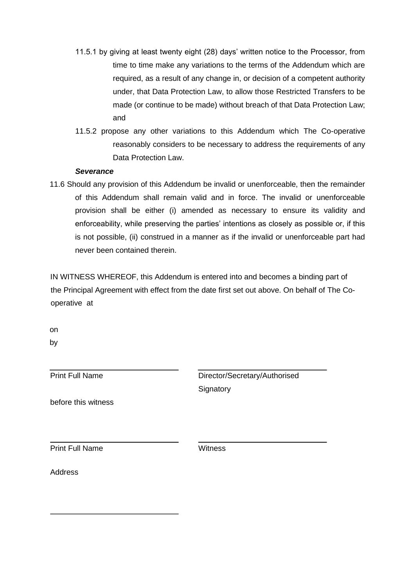- 11.5.1 by giving at least twenty eight (28) days' written notice to the Processor, from time to time make any variations to the terms of the Addendum which are required, as a result of any change in, or decision of a competent authority under, that Data Protection Law, to allow those Restricted Transfers to be made (or continue to be made) without breach of that Data Protection Law; and
- 11.5.2 propose any other variations to this Addendum which The Co-operative reasonably considers to be necessary to address the requirements of any Data Protection Law.

### *Severance*

11.6 Should any provision of this Addendum be invalid or unenforceable, then the remainder of this Addendum shall remain valid and in force. The invalid or unenforceable provision shall be either (i) amended as necessary to ensure its validity and enforceability, while preserving the parties' intentions as closely as possible or, if this is not possible, (ii) construed in a manner as if the invalid or unenforceable part had never been contained therein.

IN WITNESS WHEREOF, this Addendum is entered into and becomes a binding part of the Principal Agreement with effect from the date first set out above. On behalf of The Cooperative at

on by

Print Full Name

before this witness

Director/Secretary/Authorised **Signatory** 

Print Full Name Witness

Address